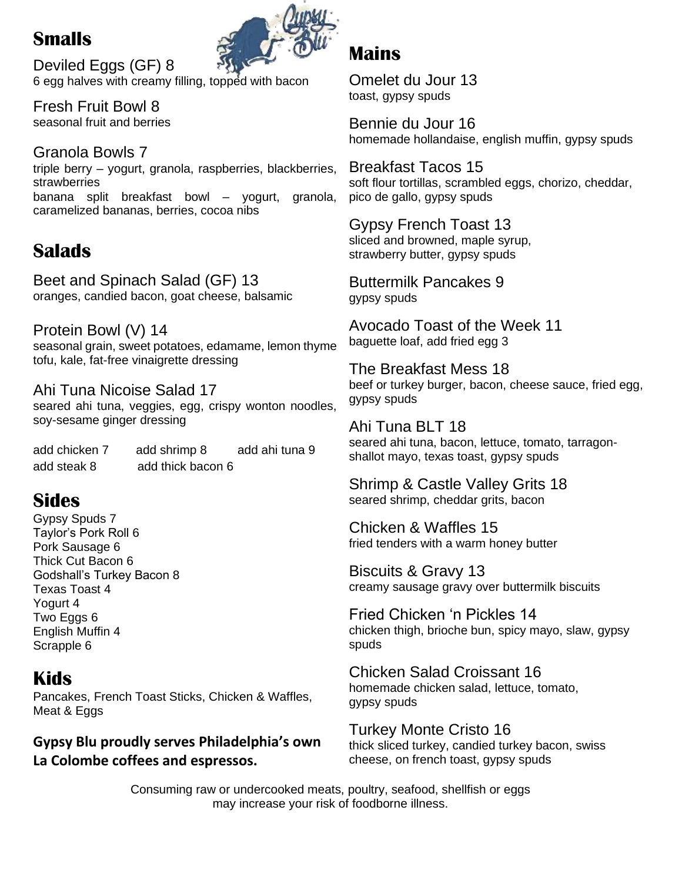# **Smalls**



Deviled Eggs (GF) 8 6 egg halves with creamy filling, topped with bacon

Fresh Fruit Bowl 8 seasonal fruit and berries

Granola Bowls 7 triple berry – yogurt, granola, raspberries, blackberries, strawberries banana split breakfast bowl – yogurt, granola, caramelized bananas, berries, cocoa nibs

# **Salads**

Beet and Spinach Salad (GF) 13 oranges, candied bacon, goat cheese, balsamic

Protein Bowl (V) 14 seasonal grain, sweet potatoes, edamame, lemon thyme tofu, kale, fat-free vinaigrette dressing

Ahi Tuna Nicoise Salad 17 seared ahi tuna, veggies, egg, crispy wonton noodles, soy-sesame ginger dressing

add chicken 7 add shrimp 8 add ahi tuna 9 add steak 8 add thick bacon 6

# **Sides**

Gypsy Spuds 7 Taylor's Pork Roll 6 Pork Sausage 6 Thick Cut Bacon 6 Godshall's Turkey Bacon 8 Texas Toast 4 Yogurt 4 Two Eggs 6 English Muffin 4 Scrapple 6

# **Kids**

Pancakes, French Toast Sticks, Chicken & Waffles, Meat & Eggs

### **Gypsy Blu proudly serves Philadelphia's own La Colombe coffees and espressos.**

## **Mains**

Omelet du Jour 13 toast, gypsy spuds

Bennie du Jour 16 homemade hollandaise, english muffin, gypsy spuds

Breakfast Tacos 15 soft flour tortillas, scrambled eggs, chorizo, cheddar, pico de gallo, gypsy spuds

Gypsy French Toast 13 sliced and browned, maple syrup, strawberry butter, gypsy spuds

Buttermilk Pancakes 9 gypsy spuds

Avocado Toast of the Week 11 baguette loaf, add fried egg 3

The Breakfast Mess 18 beef or turkey burger, bacon, cheese sauce, fried egg, gypsy spuds

Ahi Tuna BLT 18 seared ahi tuna, bacon, lettuce, tomato, tarragonshallot mayo, texas toast, gypsy spuds

Shrimp & Castle Valley Grits 18 seared shrimp, cheddar grits, bacon

Chicken & Waffles 15 fried tenders with a warm honey butter

Biscuits & Gravy 13 creamy sausage gravy over buttermilk biscuits

Fried Chicken 'n Pickles 14 chicken thigh, brioche bun, spicy mayo, slaw, gypsy spuds

Chicken Salad Croissant 16 homemade chicken salad, lettuce, tomato, gypsy spuds

Turkey Monte Cristo 16 thick sliced turkey, candied turkey bacon, swiss cheese, on french toast, gypsy spuds

Consuming raw or undercooked meats, poultry, seafood, shellfish or eggs may increase your risk of foodborne illness.